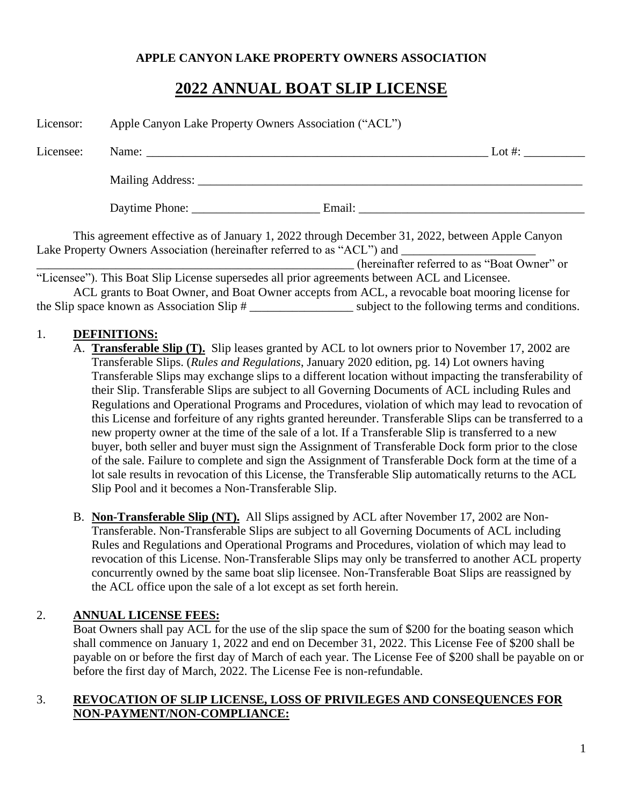#### **APPLE CANYON LAKE PROPERTY OWNERS ASSOCIATION**

# **2022 ANNUAL BOAT SLIP LICENSE**

| Licensor: | Apple Canyon Lake Property Owners Association ("ACL") |                                                                                                 |            |
|-----------|-------------------------------------------------------|-------------------------------------------------------------------------------------------------|------------|
| Licensee: |                                                       |                                                                                                 | Lot $\#$ : |
|           |                                                       |                                                                                                 |            |
|           |                                                       | Daytime Phone: Email: Email:                                                                    |            |
|           |                                                       | This agreement effective as of January 1, 2022 through December 31, 2022, between Apple Canyon  |            |
|           |                                                       | (hereinafter referred to as "Boat Owner" or                                                     |            |
|           |                                                       | "Licensee"). This Boat Slip License supersedes all prior agreements between ACL and Licensee.   |            |
|           |                                                       | ACL grants to Boat Owner, and Boat Owner accepts from ACL, a revocable boat mooring license for |            |

the Slip space known as Association Slip # \_\_\_\_\_\_\_\_\_\_\_\_\_\_\_\_\_ subject to the following terms and conditions.

#### 1. **DEFINITIONS:**

- A. **Transferable Slip (T).** Slip leases granted by ACL to lot owners prior to November 17, 2002 are Transferable Slips. (*Rules and Regulations*, January 2020 edition, pg. 14) Lot owners having Transferable Slips may exchange slips to a different location without impacting the transferability of their Slip. Transferable Slips are subject to all Governing Documents of ACL including Rules and Regulations and Operational Programs and Procedures, violation of which may lead to revocation of this License and forfeiture of any rights granted hereunder. Transferable Slips can be transferred to a new property owner at the time of the sale of a lot. If a Transferable Slip is transferred to a new buyer, both seller and buyer must sign the Assignment of Transferable Dock form prior to the close of the sale. Failure to complete and sign the Assignment of Transferable Dock form at the time of a lot sale results in revocation of this License, the Transferable Slip automatically returns to the ACL Slip Pool and it becomes a Non-Transferable Slip.
- B. **Non-Transferable Slip (NT).** All Slips assigned by ACL after November 17, 2002 are Non-Transferable. Non-Transferable Slips are subject to all Governing Documents of ACL including Rules and Regulations and Operational Programs and Procedures, violation of which may lead to revocation of this License. Non-Transferable Slips may only be transferred to another ACL property concurrently owned by the same boat slip licensee. Non-Transferable Boat Slips are reassigned by the ACL office upon the sale of a lot except as set forth herein.

#### 2. **ANNUAL LICENSE FEES:**

Boat Owners shall pay ACL for the use of the slip space the sum of \$200 for the boating season which shall commence on January 1, 2022 and end on December 31, 2022. This License Fee of \$200 shall be payable on or before the first day of March of each year. The License Fee of \$200 shall be payable on or before the first day of March, 2022. The License Fee is non-refundable.

#### 3. **REVOCATION OF SLIP LICENSE, LOSS OF PRIVILEGES AND CONSEQUENCES FOR NON-PAYMENT/NON-COMPLIANCE:**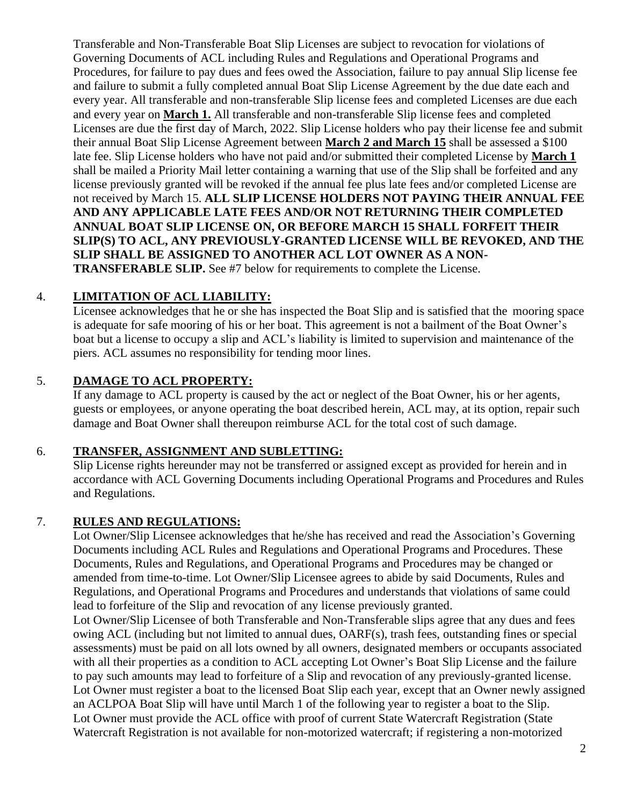Transferable and Non-Transferable Boat Slip Licenses are subject to revocation for violations of Governing Documents of ACL including Rules and Regulations and Operational Programs and Procedures, for failure to pay dues and fees owed the Association, failure to pay annual Slip license fee and failure to submit a fully completed annual Boat Slip License Agreement by the due date each and every year. All transferable and non-transferable Slip license fees and completed Licenses are due each and every year on **March 1.** All transferable and non-transferable Slip license fees and completed Licenses are due the first day of March, 2022. Slip License holders who pay their license fee and submit their annual Boat Slip License Agreement between **March 2 and March 15** shall be assessed a \$100 late fee. Slip License holders who have not paid and/or submitted their completed License by **March 1** shall be mailed a Priority Mail letter containing a warning that use of the Slip shall be forfeited and any license previously granted will be revoked if the annual fee plus late fees and/or completed License are not received by March 15. **ALL SLIP LICENSE HOLDERS NOT PAYING THEIR ANNUAL FEE AND ANY APPLICABLE LATE FEES AND/OR NOT RETURNING THEIR COMPLETED ANNUAL BOAT SLIP LICENSE ON, OR BEFORE MARCH 15 SHALL FORFEIT THEIR SLIP(S) TO ACL, ANY PREVIOUSLY-GRANTED LICENSE WILL BE REVOKED, AND THE SLIP SHALL BE ASSIGNED TO ANOTHER ACL LOT OWNER AS A NON-TRANSFERABLE SLIP.** See #7 below for requirements to complete the License.

# 4. **LIMITATION OF ACL LIABILITY:**

Licensee acknowledges that he or she has inspected the Boat Slip and is satisfied that the mooring space is adequate for safe mooring of his or her boat. This agreement is not a bailment of the Boat Owner's boat but a license to occupy a slip and ACL's liability is limited to supervision and maintenance of the piers. ACL assumes no responsibility for tending moor lines.

# 5. **DAMAGE TO ACL PROPERTY:**

If any damage to ACL property is caused by the act or neglect of the Boat Owner, his or her agents, guests or employees, or anyone operating the boat described herein, ACL may, at its option, repair such damage and Boat Owner shall thereupon reimburse ACL for the total cost of such damage.

# 6. **TRANSFER, ASSIGNMENT AND SUBLETTING:**

Slip License rights hereunder may not be transferred or assigned except as provided for herein and in accordance with ACL Governing Documents including Operational Programs and Procedures and Rules and Regulations.

# 7. **RULES AND REGULATIONS:**

Lot Owner/Slip Licensee acknowledges that he/she has received and read the Association's Governing Documents including ACL Rules and Regulations and Operational Programs and Procedures. These Documents, Rules and Regulations, and Operational Programs and Procedures may be changed or amended from time-to-time. Lot Owner/Slip Licensee agrees to abide by said Documents, Rules and Regulations, and Operational Programs and Procedures and understands that violations of same could lead to forfeiture of the Slip and revocation of any license previously granted.

Lot Owner/Slip Licensee of both Transferable and Non-Transferable slips agree that any dues and fees owing ACL (including but not limited to annual dues, OARF(s), trash fees, outstanding fines or special assessments) must be paid on all lots owned by all owners, designated members or occupants associated with all their properties as a condition to ACL accepting Lot Owner's Boat Slip License and the failure to pay such amounts may lead to forfeiture of a Slip and revocation of any previously-granted license. Lot Owner must register a boat to the licensed Boat Slip each year, except that an Owner newly assigned an ACLPOA Boat Slip will have until March 1 of the following year to register a boat to the Slip. Lot Owner must provide the ACL office with proof of current State Watercraft Registration (State Watercraft Registration is not available for non-motorized watercraft; if registering a non-motorized